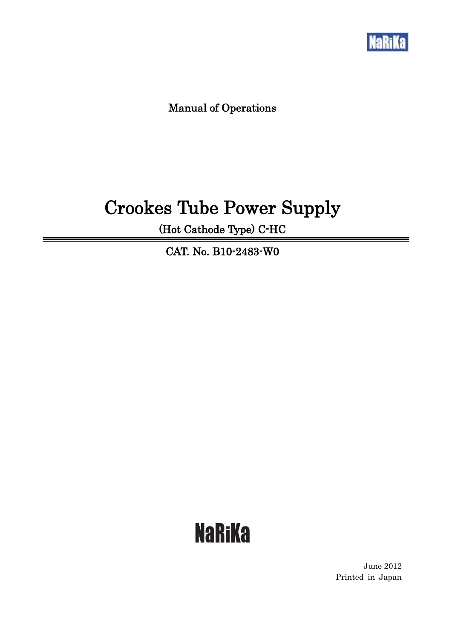

 $=$ 

Manual of Operations

## Crookes Tube Power Supply

(Hot Cathode Type) C-HC

CAT. No. B10-2483-W0

# **NaRiKa**

June 2012 Printed in Japan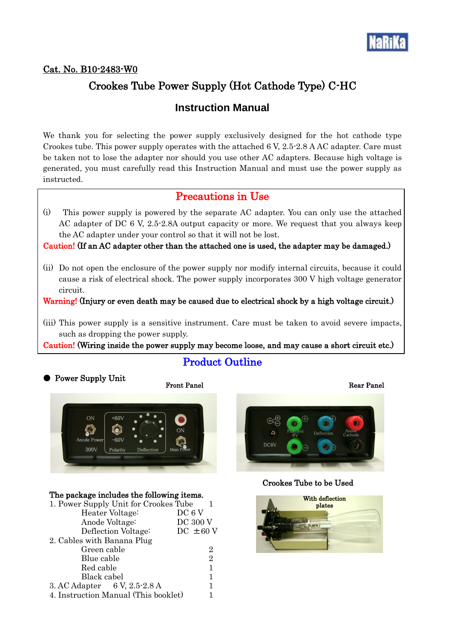

#### Cat. No. B10-2483-W0

## Crookes Tube Power Supply (Hot Cathode Type) C-HC

## **Instruction Manual**

We thank you for selecting the power supply exclusively designed for the hot cathode type Crookes tube. This power supply operates with the attached 6 V, 2.5-2.8 A AC adapter. Care must be taken not to lose the adapter nor should you use other AC adapters. Because high voltage is generated, you must carefully read this Instruction Manual and must use the power supply as instructed.

## Precautions in Use

(i) This power supply is powered by the separate AC adapter. You can only use the attached AC adapter of DC 6 V, 2.5-2.8A output capacity or more. We request that you always keep the AC adapter under your control so that it will not be lost.

Caution! (If an AC adapter other than the attached one is used, the adapter may be damaged.)

(ii) Do not open the enclosure of the power supply nor modify internal circuits, because it could cause a risk of electrical shock. The power supply incorporates 300 V high voltage generator circuit.

Warning! (Injury or even death may be caused due to electrical shock by a high voltage circuit.)

(iii) This power supply is a sensitive instrument. Care must be taken to avoid severe impacts, such as dropping the power supply.

Caution! (Wiring inside the power supply may become loose, and may cause a short circuit etc.)

Product Outline

### ● Power Supply Unit

#### Front Panel Rear Panel



#### The package includes the following items.

| 1. Power Supply Unit for Crookes Tube |                 |
|---------------------------------------|-----------------|
| Heater Voltage:                       | DC 6 V          |
| Anode Voltage:                        | <b>DC 300 V</b> |
| Deflection Voltage:                   | $DC \pm 60 V$   |
| 2. Cables with Banana Plug            |                 |
| Green cable                           | 2               |
| Blue cable                            | 2               |
| Red cable                             | 1               |
| Black cabel                           | 1               |
| 3. AC Adapter 6 V, 2.5-2.8 A          |                 |
| 4. Instruction Manual (This booklet)  |                 |



#### Crookes Tube to be Used

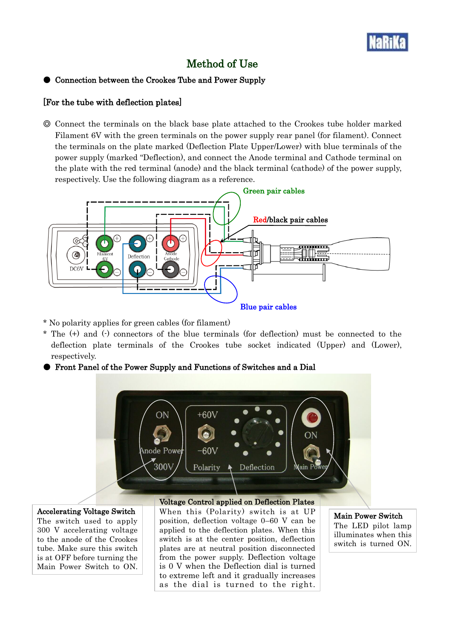

## Method of Use

#### Connection between the Crookes Tube and Power Supply

#### [For the tube with deflection plates]

◎ Connect the terminals on the black base plate attached to the Crookes tube holder marked Filament 6V with the green terminals on the power supply rear panel (for filament). Connect the terminals on the plate marked (Deflection Plate Upper/Lower) with blue terminals of the power supply (marked "Deflection), and connect the Anode terminal and Cathode terminal on the plate with the red terminal (anode) and the black terminal (cathode) of the power supply, respectively. Use the following diagram as a reference.



- \* No polarity applies for green cables (for filament)
- \* The (+) and (-) connectors of the blue terminals (for deflection) must be connected to the deflection plate terminals of the Crookes tube socket indicated (Upper) and (Lower), respectively.
- Front Panel of the Power Supply and Functions of Switches and a Dial



#### Accelerating Voltage Switch

The switch used to apply 300 V accelerating voltage to the anode of the Crookes tube. Make sure this switch is at OFF before turning the Main Power Switch to ON. Voltage Control applied on Deflection Plates When this (Polarity) switch is at UP position, deflection voltage 0–60 V can be applied to the deflection plates. When this switch is at the center position, deflection plates are at neutral position disconnected from the power supply. Deflection voltage is 0 V when the Deflection dial is turned to extreme left and it gradually increases as the dial is turned to the right.

Main Power Switch The LED pilot lamp illuminates when this switch is turned ON.